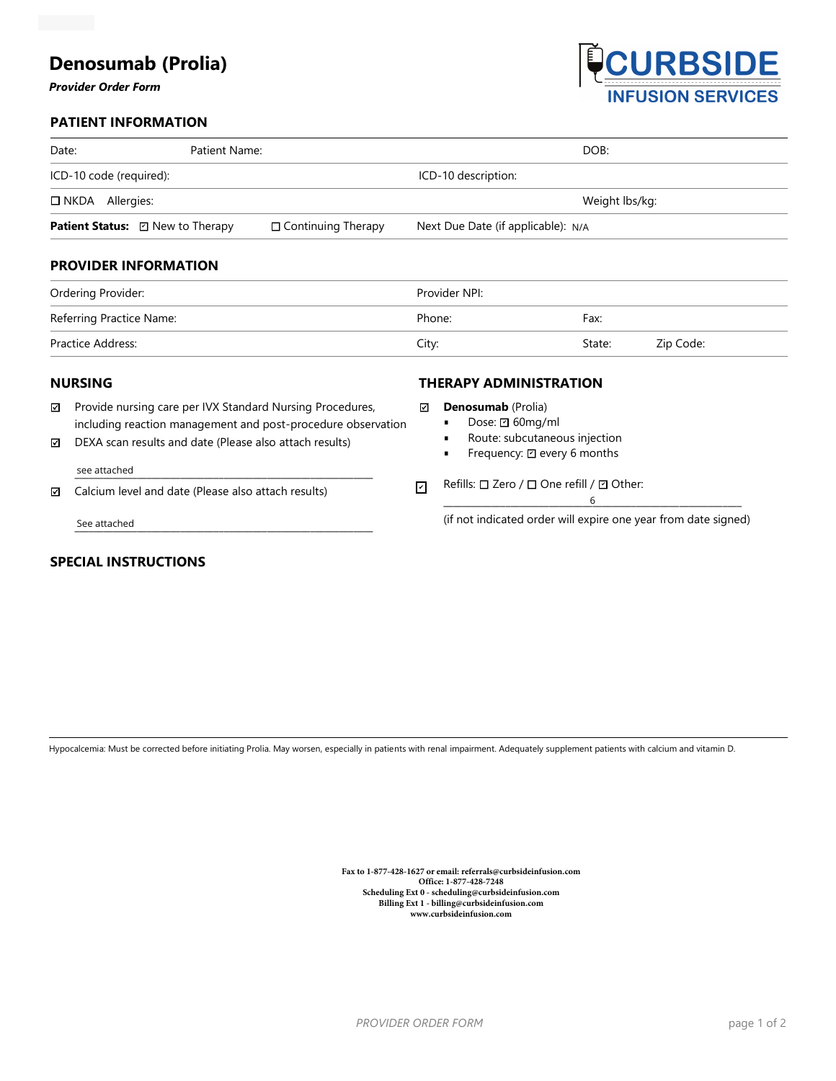# **Denosumab (Prolia)**

#### *Provider Order Form*



### **PATIENT INFORMATION**

| Date:                                   | Patient Name: |                           | DOB:                               |        |           |
|-----------------------------------------|---------------|---------------------------|------------------------------------|--------|-----------|
| ICD-10 code (required):                 |               |                           | ICD-10 description:                |        |           |
| Allergies:<br>$\square$ NKDA            |               |                           | Weight lbs/kg:                     |        |           |
| <b>Patient Status:</b> ☑ New to Therapy |               | $\Box$ Continuing Therapy | Next Due Date (if applicable): N/A |        |           |
| <b>PROVIDER INFORMATION</b>             |               |                           |                                    |        |           |
| Ordering Provider:                      |               |                           | Provider NPI:                      |        |           |
| Referring Practice Name:                |               |                           | Phone:                             | Fax:   |           |
| Practice Address:                       |               |                           | City:                              | State: | Zip Code: |

#### **NURSING**

| ⊡ | Provide nursing care per IVX Standard Nursing Procedures,    |
|---|--------------------------------------------------------------|
|   | including reaction management and post-procedure observation |

ncluding reaction management and post-procedure observation<br>DEXA scan results and date (Please also attach results)<br>See attached<br>Calcium level and date (Please also attach results)<br>See attached (if not indica DEXA scan results and date (Please also attach results) ☑

#### \_\_\_\_\_\_\_\_\_\_\_\_\_\_\_\_\_\_\_\_\_\_\_\_\_\_\_\_\_\_\_\_\_\_\_\_\_\_\_\_\_\_\_\_\_\_\_\_\_\_\_\_\_\_\_\_\_\_\_\_\_\_ see attached

☑ Calcium level and date (Please also attach results)

See attached

## **SPECIAL INSTRUCTIONS**

#### **Denosumab** (Prolia)

Dose: **2**60mg/ml

**THERAPY ADMINISTRATION**

- Route: subcutaneous injection
- Frequency:  $\boxdot$  every 6 months

#### 기 Refills: ロ Zero / ロ One refill / *덴* Other:

\_\_\_\_\_\_\_\_\_\_\_\_\_\_\_\_\_\_\_\_\_\_\_\_\_\_\_\_\_\_\_\_\_\_\_\_\_\_\_\_\_\_\_\_\_\_\_\_\_\_\_\_\_\_\_\_\_\_\_\_\_\_ 6

(if not indicated order will expire one year from date signed)

Hypocalcemia: Must be corrected before initiating Prolia. May worsen, especially in patients with renal impairment. Adequately supplement patients with calcium and vitamin D.

**Fax to 1-877-428-1627 or email: referrals@curbsideinfusion.com Office: 1-877-428-7248 Scheduling Ext 0 - scheduling@curbsideinfusion.com Billing Ext 1 - billing@curbsideinfusion.com www.curbsideinfusion.com**